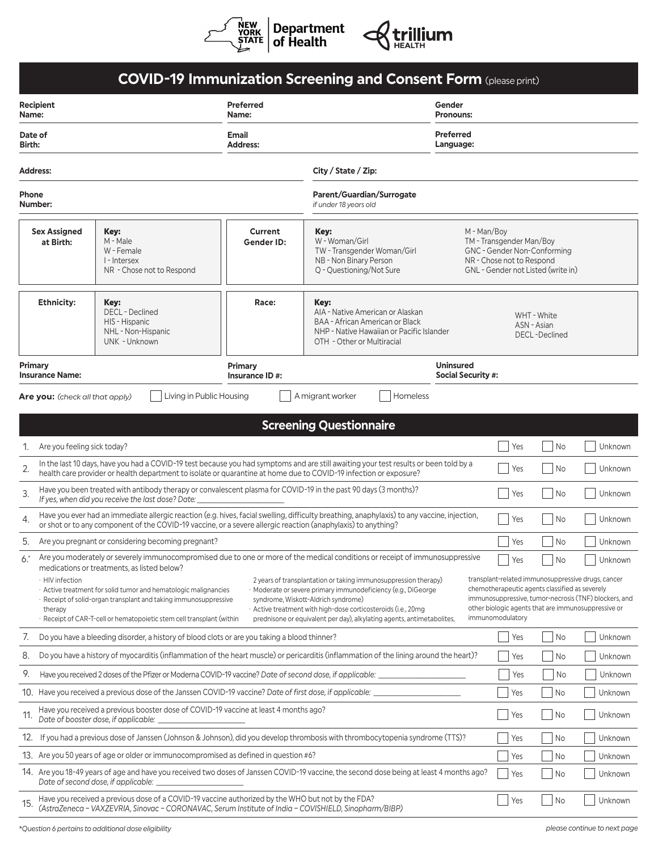

|                                                                                                                                                      |                                                                                                                                                                                                                                                                                                                                                                                                                                                                                                                                                                                                                                                                                                                                                                                                                                                                                                                                                                                                     |                                                                                                                                                                                                            |                           | <b>COVID-19 Immunization Screening and Consent Form (please print)</b>                                                                                 |                                                                                                                                           |             |                                     |         |
|------------------------------------------------------------------------------------------------------------------------------------------------------|-----------------------------------------------------------------------------------------------------------------------------------------------------------------------------------------------------------------------------------------------------------------------------------------------------------------------------------------------------------------------------------------------------------------------------------------------------------------------------------------------------------------------------------------------------------------------------------------------------------------------------------------------------------------------------------------------------------------------------------------------------------------------------------------------------------------------------------------------------------------------------------------------------------------------------------------------------------------------------------------------------|------------------------------------------------------------------------------------------------------------------------------------------------------------------------------------------------------------|---------------------------|--------------------------------------------------------------------------------------------------------------------------------------------------------|-------------------------------------------------------------------------------------------------------------------------------------------|-------------|-------------------------------------|---------|
| Recipient<br>Name:                                                                                                                                   |                                                                                                                                                                                                                                                                                                                                                                                                                                                                                                                                                                                                                                                                                                                                                                                                                                                                                                                                                                                                     |                                                                                                                                                                                                            | <b>Preferred</b><br>Name: |                                                                                                                                                        | Gender<br><b>Pronouns:</b>                                                                                                                |             |                                     |         |
| Date of<br><b>Birth:</b>                                                                                                                             |                                                                                                                                                                                                                                                                                                                                                                                                                                                                                                                                                                                                                                                                                                                                                                                                                                                                                                                                                                                                     |                                                                                                                                                                                                            | Email<br><b>Address:</b>  |                                                                                                                                                        | <b>Preferred</b><br>Language:                                                                                                             |             |                                     |         |
| <b>Address:</b>                                                                                                                                      |                                                                                                                                                                                                                                                                                                                                                                                                                                                                                                                                                                                                                                                                                                                                                                                                                                                                                                                                                                                                     |                                                                                                                                                                                                            |                           | City / State / Zip:                                                                                                                                    |                                                                                                                                           |             |                                     |         |
| Phone<br>Number:                                                                                                                                     |                                                                                                                                                                                                                                                                                                                                                                                                                                                                                                                                                                                                                                                                                                                                                                                                                                                                                                                                                                                                     |                                                                                                                                                                                                            |                           | Parent/Guardian/Surrogate<br>if under 18 years old                                                                                                     |                                                                                                                                           |             |                                     |         |
|                                                                                                                                                      | <b>Sex Assigned</b><br>Key:<br>M - Male<br>at Birth:<br>W - Female<br>I - Intersex<br>NR - Chose not to Respond                                                                                                                                                                                                                                                                                                                                                                                                                                                                                                                                                                                                                                                                                                                                                                                                                                                                                     |                                                                                                                                                                                                            | Current<br>Gender ID:     | Key:<br>W - Woman/Girl<br>TW - Transgender Woman/Girl<br>NB - Non Binary Person<br>Q - Questioning/Not Sure                                            | M - Man/Boy<br>TM - Transgender Man/Boy<br>GNC - Gender Non-Conforming<br>NR - Chose not to Respond<br>GNL - Gender not Listed (write in) |             |                                     |         |
|                                                                                                                                                      | <b>Ethnicity:</b>                                                                                                                                                                                                                                                                                                                                                                                                                                                                                                                                                                                                                                                                                                                                                                                                                                                                                                                                                                                   | Key:<br><b>DECL</b> - Declined<br>HIS - Hispanic<br>NHL - Non-Hispanic<br>UNK - Unknown                                                                                                                    | Race:                     | Key:<br>AIA - Native American or Alaskan<br>BAA - African American or Black<br>NHP - Native Hawaiian or Pacific Islander<br>OTH - Other or Multiracial |                                                                                                                                           | ASN - Asian | WHT - White<br><b>DECL-Declined</b> |         |
| Primary                                                                                                                                              | <b>Insurance Name:</b>                                                                                                                                                                                                                                                                                                                                                                                                                                                                                                                                                                                                                                                                                                                                                                                                                                                                                                                                                                              |                                                                                                                                                                                                            | Primary<br>Insurance ID#: |                                                                                                                                                        | <b>Uninsured</b><br><b>Social Security #:</b>                                                                                             |             |                                     |         |
|                                                                                                                                                      | <b>Are you:</b> (check all that apply)                                                                                                                                                                                                                                                                                                                                                                                                                                                                                                                                                                                                                                                                                                                                                                                                                                                                                                                                                              | Living in Public Housing                                                                                                                                                                                   |                           | A migrant worker<br>Homeless                                                                                                                           |                                                                                                                                           |             |                                     |         |
|                                                                                                                                                      |                                                                                                                                                                                                                                                                                                                                                                                                                                                                                                                                                                                                                                                                                                                                                                                                                                                                                                                                                                                                     |                                                                                                                                                                                                            |                           |                                                                                                                                                        |                                                                                                                                           |             |                                     |         |
|                                                                                                                                                      |                                                                                                                                                                                                                                                                                                                                                                                                                                                                                                                                                                                                                                                                                                                                                                                                                                                                                                                                                                                                     |                                                                                                                                                                                                            |                           | <b>Screening Questionnaire</b>                                                                                                                         |                                                                                                                                           |             |                                     |         |
| 1.                                                                                                                                                   | Are you feeling sick today?                                                                                                                                                                                                                                                                                                                                                                                                                                                                                                                                                                                                                                                                                                                                                                                                                                                                                                                                                                         |                                                                                                                                                                                                            |                           |                                                                                                                                                        |                                                                                                                                           | Yes         | <b>No</b>                           | Unknown |
| 2.                                                                                                                                                   | In the last 10 days, have you had a COVID-19 test because you had symptoms and are still awaiting your test results or been told by a<br>Yes<br>No<br>health care provider or health department to isolate or quarantine at home due to COVID-19 infection or exposure?                                                                                                                                                                                                                                                                                                                                                                                                                                                                                                                                                                                                                                                                                                                             |                                                                                                                                                                                                            |                           |                                                                                                                                                        |                                                                                                                                           |             | Unknown                             |         |
| 3.                                                                                                                                                   | Have you been treated with antibody therapy or convalescent plasma for COVID-19 in the past 90 days (3 months)?<br>Yes<br>No<br>Unknown<br>If yes, when did you receive the last dose? Date:                                                                                                                                                                                                                                                                                                                                                                                                                                                                                                                                                                                                                                                                                                                                                                                                        |                                                                                                                                                                                                            |                           |                                                                                                                                                        |                                                                                                                                           |             |                                     |         |
| 4.                                                                                                                                                   | Have you ever had an immediate allergic reaction (e.g. hives, facial swelling, difficulty breathing, anaphylaxis) to any vaccine, injection,<br>Yes<br>No<br>or shot or to any component of the COVID-19 vaccine, or a severe allergic reaction (anaphylaxis) to anything?                                                                                                                                                                                                                                                                                                                                                                                                                                                                                                                                                                                                                                                                                                                          |                                                                                                                                                                                                            |                           |                                                                                                                                                        |                                                                                                                                           |             | Unknown                             |         |
| 5.                                                                                                                                                   | Are you pregnant or considering becoming pregnant?<br>Yes<br>No                                                                                                                                                                                                                                                                                                                                                                                                                                                                                                                                                                                                                                                                                                                                                                                                                                                                                                                                     |                                                                                                                                                                                                            |                           |                                                                                                                                                        |                                                                                                                                           |             | Unknown                             |         |
| 6.                                                                                                                                                   | Are you moderately or severely immunocompromised due to one or more of the medical conditions or receipt of immunosuppressive<br>Yes<br>No<br>medications or treatments, as listed below?<br>transplant-related immunosuppressive drugs, cancer<br>· HIV infection<br>2 years of transplantation or taking immunosuppression therapy)<br>chemotherapeutic agents classified as severely<br>Moderate or severe primary immunodeficiency (e.g., DiGeorge<br>Active treatment for solid tumor and hematologic malignancies<br>immunosuppressive, tumor-necrosis (TNF) blockers, and<br>· Receipt of solid-organ transplant and taking immunosuppressive<br>syndrome, Wiskott-Aldrich syndrome)<br>other biologic agents that are immunosuppressive or<br>Active treatment with high-dose corticosteroids (i.e., 20mg<br>therapy<br>immunomodulatory<br>· Receipt of CAR-T-cell or hematopoietic stem cell transplant (within<br>prednisone or equivalent per day), alkylating agents, antimetabolites, |                                                                                                                                                                                                            |                           |                                                                                                                                                        |                                                                                                                                           |             | Unknown                             |         |
|                                                                                                                                                      |                                                                                                                                                                                                                                                                                                                                                                                                                                                                                                                                                                                                                                                                                                                                                                                                                                                                                                                                                                                                     |                                                                                                                                                                                                            |                           |                                                                                                                                                        |                                                                                                                                           |             |                                     |         |
| 7.                                                                                                                                                   |                                                                                                                                                                                                                                                                                                                                                                                                                                                                                                                                                                                                                                                                                                                                                                                                                                                                                                                                                                                                     | Do you have a bleeding disorder, a history of blood clots or are you taking a blood thinner?                                                                                                               |                           |                                                                                                                                                        |                                                                                                                                           | Yes         | No                                  | Unknown |
| 8.                                                                                                                                                   | Do you have a history of myocarditis (inflammation of the heart muscle) or pericarditis (inflammation of the lining around the heart)?<br>No<br>Yes                                                                                                                                                                                                                                                                                                                                                                                                                                                                                                                                                                                                                                                                                                                                                                                                                                                 |                                                                                                                                                                                                            |                           |                                                                                                                                                        |                                                                                                                                           |             | Unknown                             |         |
| 9.                                                                                                                                                   | Have you received 2 doses of the Pfizer or Moderna COVID-19 vaccine? Date of second dose, if applicable:<br>Yes<br>No                                                                                                                                                                                                                                                                                                                                                                                                                                                                                                                                                                                                                                                                                                                                                                                                                                                                               |                                                                                                                                                                                                            |                           |                                                                                                                                                        |                                                                                                                                           |             |                                     | Unknown |
|                                                                                                                                                      | 10. Have you received a previous dose of the Janssen COVID-19 vaccine? Date of first dose, if applicable:                                                                                                                                                                                                                                                                                                                                                                                                                                                                                                                                                                                                                                                                                                                                                                                                                                                                                           |                                                                                                                                                                                                            |                           |                                                                                                                                                        |                                                                                                                                           |             | No                                  | Unknown |
| Have you received a previous booster dose of COVID-19 vaccine at least 4 months ago?<br>11.<br>$ $ Yes<br>No<br>Date of booster dose, if applicable: |                                                                                                                                                                                                                                                                                                                                                                                                                                                                                                                                                                                                                                                                                                                                                                                                                                                                                                                                                                                                     |                                                                                                                                                                                                            |                           |                                                                                                                                                        |                                                                                                                                           | Unknown     |                                     |         |
| 12.                                                                                                                                                  | If you had a previous dose of Janssen (Johnson & Johnson), did you develop thrombosis with thrombocytopenia syndrome (TTS)?                                                                                                                                                                                                                                                                                                                                                                                                                                                                                                                                                                                                                                                                                                                                                                                                                                                                         |                                                                                                                                                                                                            |                           |                                                                                                                                                        |                                                                                                                                           | Yes         | No                                  | Unknown |
|                                                                                                                                                      | 13. Are you 50 years of age or older or immunocompromised as defined in question #6?                                                                                                                                                                                                                                                                                                                                                                                                                                                                                                                                                                                                                                                                                                                                                                                                                                                                                                                |                                                                                                                                                                                                            |                           |                                                                                                                                                        |                                                                                                                                           |             | No                                  | Unknown |
|                                                                                                                                                      | 14. Are you 18-49 years of age and have you received two doses of Janssen COVID-19 vaccine, the second dose being at least 4 months ago?<br>Yes<br>No<br>Date of second dose, if applicable:                                                                                                                                                                                                                                                                                                                                                                                                                                                                                                                                                                                                                                                                                                                                                                                                        |                                                                                                                                                                                                            |                           |                                                                                                                                                        |                                                                                                                                           |             | Unknown                             |         |
| 15.                                                                                                                                                  |                                                                                                                                                                                                                                                                                                                                                                                                                                                                                                                                                                                                                                                                                                                                                                                                                                                                                                                                                                                                     | Have you received a previous dose of a COVID-19 vaccine authorized by the WHO but not by the FDA?<br>(AstraZeneca - VAXZEVRIA, Sinovac - CORONAVAC, Serum Institute of India - COVISHIELD, Sinopharm/BIBP) |                           |                                                                                                                                                        |                                                                                                                                           | Yes         | No                                  | Unknown |